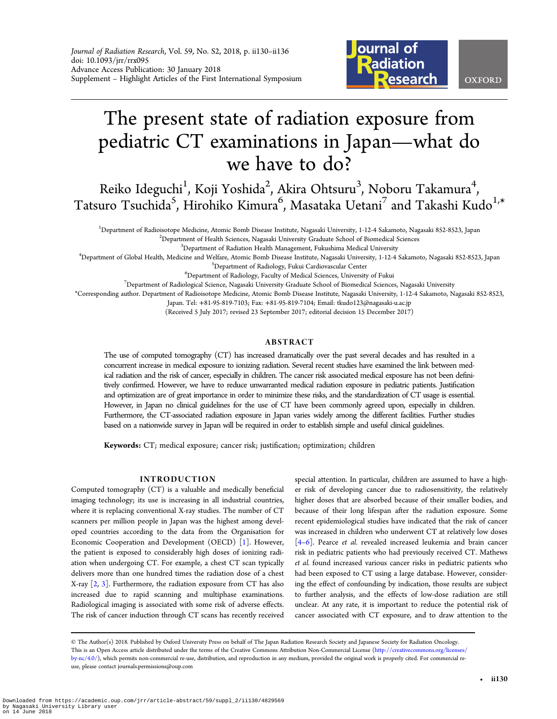

**OXFORD** 

# The present state of radiation exposure from pediatric CT examinations in Japan—what do we have to do?

Reiko Ideguchi $^1$ , Koji Yoshida $^2$ , Akira Ohtsuru $^3$ , Noboru Takamura $^4$ .<br>, Tatsuro Tsuchida $^5$ , Hirohiko Kimura $^6$ , Masataka Uetani $^7$  and Takashi Kudo $^{1,\ast}$ 

<sup>1</sup>Department of Radioisotope Medicine, Atomic Bomb Disease Institute, Nagasaki University, 1-12-4 Sakamoto, Nagasaki 852-8523, Japan <sup>2</sup> Department of Health Sciences, Nagasaki University Graduate School of Biomedical Sci

 $\textsuperscript{2}$ Department of Health Sciences, Nagasaki University Graduate School of Biomedical Sciences  $\textsuperscript{3}$ Department of Radiation Health Management, Fukushima Medical University

<sup>3</sup>Department of Radiation Health Management, Fukushima Medical University<br>1 12 dependence of Global Health Medicine and Welfare, Atomic Bomb Disease Institute Nagasaki University 1 12

Department of Global Health, Medicine and Welfare, Atomic Bomb Disease Institute, Nagasaki University, 1-12-4 Sakamoto, Nagasaki 852-8523, Japan المواضح  ${}^{5}$ Department of Radiology, Fukui Cardiovascular Center

<sup>6</sup>Department of Radiology, Faculty of Medical Sciences, University of Fukui

<sup>7</sup>Department of Radiological Science, Nagasaki University Graduate School of Biomedical Sciences, Nagasaki University

\*Corresponding author. Department of Radioisotope Medicine, Atomic Bomb Disease Institute, Nagasaki University, 1-12-4 Sakamoto, Nagasaki 852-8523,

Japan. Tel: +81-95-819-7103; Fax: +81-95-819-7104; Email: tkudo123@nagasaki-u.ac.jp

(Received 5 July 2017; revised 23 September 2017; editorial decision 15 December 2017)

### ABSTRACT

The use of computed tomography (CT) has increased dramatically over the past several decades and has resulted in a concurrent increase in medical exposure to ionizing radiation. Several recent studies have examined the link between medical radiation and the risk of cancer, especially in children. The cancer risk associated medical exposure has not been definitively confirmed. However, we have to reduce unwarranted medical radiation exposure in pediatric patients. Justification and optimization are of great importance in order to minimize these risks, and the standardization of CT usage is essential. However, in Japan no clinical guidelines for the use of CT have been commonly agreed upon, especially in children. Furthermore, the CT-associated radiation exposure in Japan varies widely among the different facilities. Further studies based on a nationwide survey in Japan will be required in order to establish simple and useful clinical guidelines.

Keywords: CT; medical exposure; cancer risk; justification; optimization; children

#### INTRODUCTION

Computed tomography (CT) is a valuable and medically beneficial imaging technology; its use is increasing in all industrial countries, where it is replacing conventional X-ray studies. The number of CT scanners per million people in Japan was the highest among developed countries according to the data from the Organisation for Economic Cooperation and Development (OECD) [[1\]](#page-5-0). However, the patient is exposed to considerably high doses of ionizing radiation when undergoing CT. For example, a chest CT scan typically delivers more than one hundred times the radiation dose of a chest X-ray [[2](#page-5-0), [3\]](#page-5-0). Furthermore, the radiation exposure from CT has also increased due to rapid scanning and multiphase examinations. Radiological imaging is associated with some risk of adverse effects. The risk of cancer induction through CT scans has recently received

special attention. In particular, children are assumed to have a higher risk of developing cancer due to radiosensitivity, the relatively higher doses that are absorbed because of their smaller bodies, and because of their long lifespan after the radiation exposure. Some recent epidemiological studies have indicated that the risk of cancer was increased in children who underwent CT at relatively low doses  $[4-6]$  $[4-6]$  $[4-6]$  $[4-6]$ . Pearce *et al.* revealed increased leukemia and brain cancer risk in pediatric patients who had previously received CT. Mathews et al. found increased various cancer risks in pediatric patients who had been exposed to CT using a large database. However, considering the effect of confounding by indication, those results are subject to further analysis, and the effects of low-dose radiation are still unclear. At any rate, it is important to reduce the potential risk of cancer associated with CT exposure, and to draw attention to the

© The Author(s) 2018. Published by Oxford University Press on behalf of The Japan Radiation Research Society and Japanese Society for Radiation Oncology. This is an Open Access article distributed under the terms of the Creative Commons Attribution Non-Commercial License [\(http://creativecommons.org/licenses/](http://creativecommons.org/licenses/by-nc/4.0/) [by-nc/4.0/](http://creativecommons.org/licenses/by-nc/4.0/)), which permits non-commercial re-use, distribution, and reproduction in any medium, provided the original work is properly cited. For commercial reuse, please contact journals.permissions@oup.com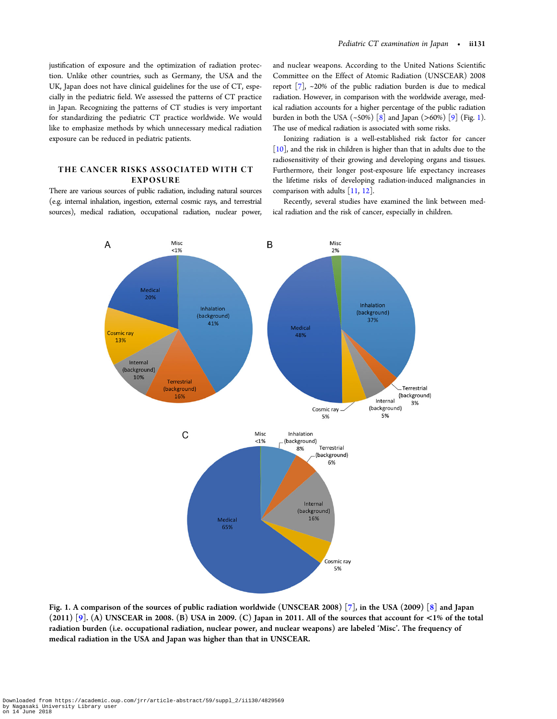# THE CANCER RISKS ASSOCIATED WITH CT EXPOSURE

There are various sources of public radiation, including natural sources (e.g. internal inhalation, ingestion, external cosmic rays, and terrestrial sources), medical radiation, occupational radiation, nuclear power, Pediatric CT examination in Japan • ii131

The use of medical radiation is associated with some risks. Ionizing radiation is a well-established risk factor for cancer [\[10\]](#page-5-0), and the risk in children is higher than that in adults due to the radiosensitivity of their growing and developing organs and tissues. Furthermore, their longer post-exposure life expectancy increases the lifetime risks of developing radiation-induced malignancies in comparison with adults  $[11, 12]$  $[11, 12]$  $[11, 12]$ .

burden in both the USA  $(\sim 50\%)$  [\[8](#page-5-0)] and Japan  $(\gt 60\%)$  [\[9](#page-5-0)] (Fig. 1).

Recently, several studies have examined the link between medical radiation and the risk of cancer, especially in children.



Fig. 1. A comparison of the sources of public radiation worldwide (UNSCEAR 2008) [[7](#page-5-0)], in the USA (2009) [[8](#page-5-0)] and Japan  $(2011)$  [[9](#page-5-0)]. (A) UNSCEAR in 2008. (B) USA in 2009. (C) Japan in 2011. All of the sources that account for <1% of the total radiation burden (i.e. occupational radiation, nuclear power, and nuclear weapons) are labeled 'Misc'. The frequency of medical radiation in the USA and Japan was higher than that in UNSCEAR.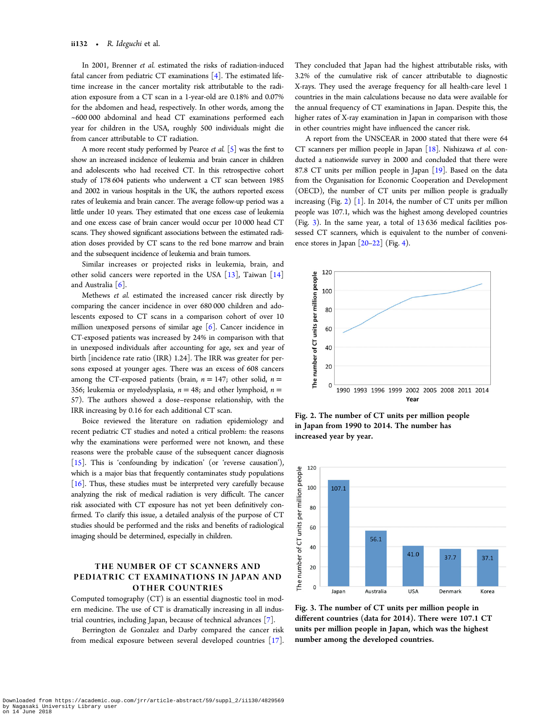In 2001, Brenner et al. estimated the risks of radiation-induced fatal cancer from pediatric CT examinations [[4\]](#page-5-0). The estimated lifetime increase in the cancer mortality risk attributable to the radiation exposure from a CT scan in a 1-year-old are 0.18% and 0.07% for the abdomen and head, respectively. In other words, among the ~600 000 abdominal and head CT examinations performed each year for children in the USA, roughly 500 individuals might die from cancer attributable to CT radiation.

A more recent study performed by Pearce et al.  $[5]$  was the first to show an increased incidence of leukemia and brain cancer in children and adolescents who had received CT. In this retrospective cohort study of 178 604 patients who underwent a CT scan between 1985 and 2002 in various hospitals in the UK, the authors reported excess rates of leukemia and brain cancer. The average follow-up period was a little under 10 years. They estimated that one excess case of leukemia and one excess case of brain cancer would occur per 10 000 head CT scans. They showed significant associations between the estimated radiation doses provided by CT scans to the red bone marrow and brain and the subsequent incidence of leukemia and brain tumors.

Similar increases or projected risks in leukemia, brain, and other solid cancers were reported in the USA  $[13]$ , Taiwan  $[14]$ and Australia [[6](#page-5-0)].

Methews et al. estimated the increased cancer risk directly by comparing the cancer incidence in over 680 000 children and adolescents exposed to CT scans in a comparison cohort of over 10 million unexposed persons of similar age [\[6\]](#page-5-0). Cancer incidence in CT-exposed patients was increased by 24% in comparison with that in unexposed individuals after accounting for age, sex and year of birth [incidence rate ratio (IRR) 1.24]. The IRR was greater for persons exposed at younger ages. There was an excess of 608 cancers among the CT-exposed patients (brain,  $n = 147$ ; other solid,  $n =$ 356; leukemia or myelodysplasia,  $n = 48$ ; and other lymphoid,  $n =$ 57). The authors showed a dose–response relationship, with the IRR increasing by 0.16 for each additional CT scan.

Boice reviewed the literature on radiation epidemiology and recent pediatric CT studies and noted a critical problem: the reasons why the examinations were performed were not known, and these reasons were the probable cause of the subsequent cancer diagnosis [[15\]](#page-5-0). This is 'confounding by indication' (or 'reverse causation'), which is a major bias that frequently contaminates study populations [ $16$ ]. Thus, these studies must be interpreted very carefully because analyzing the risk of medical radiation is very difficult. The cancer risk associated with CT exposure has not yet been definitively confirmed. To clarify this issue, a detailed analysis of the purpose of CT studies should be performed and the risks and benefits of radiological imaging should be determined, especially in children.

# THE NUMBER OF CT SCANNERS AND PEDIATRIC CT EXAMINATIONS IN JAPAN AND OTHER COUNTRIES

Computed tomography (CT) is an essential diagnostic tool in modern medicine. The use of CT is dramatically increasing in all industrial countries, including Japan, because of technical advances [\[7](#page-5-0)].

Berrington de Gonzalez and Darby compared the cancer risk from medical exposure between several developed countries [[17](#page-5-0)]. They concluded that Japan had the highest attributable risks, with 3.2% of the cumulative risk of cancer attributable to diagnostic X-rays. They used the average frequency for all health-care level 1 countries in the main calculations because no data were available for the annual frequency of CT examinations in Japan. Despite this, the higher rates of X-ray examination in Japan in comparison with those in other countries might have influenced the cancer risk.

A report from the UNSCEAR in 2000 stated that there were 64 CT scanners per million people in Japan [\[18](#page-5-0)]. Nishizawa et al. conducted a nationwide survey in 2000 and concluded that there were 87.8 CT units per million people in Japan [\[19\]](#page-5-0). Based on the data from the Organisation for Economic Cooperation and Development (OECD), the number of CT units per million people is gradually increasing (Fig. 2)  $\lceil 1 \rceil$ . In 2014, the number of CT units per million people was 107.1, which was the highest among developed countries (Fig. 3). In the same year, a total of 13 636 medical facilities possessed CT scanners, which is equivalent to the number of convenience stores in Japan  $[20-22]$  $[20-22]$  $[20-22]$  $[20-22]$  (Fig. [4](#page-3-0)).



Fig. 2. The number of CT units per million people in Japan from 1990 to 2014. The number has increased year by year.



Fig. 3. The number of CT units per million people in different countries (data for 2014). There were 107.1 CT units per million people in Japan, which was the highest number among the developed countries.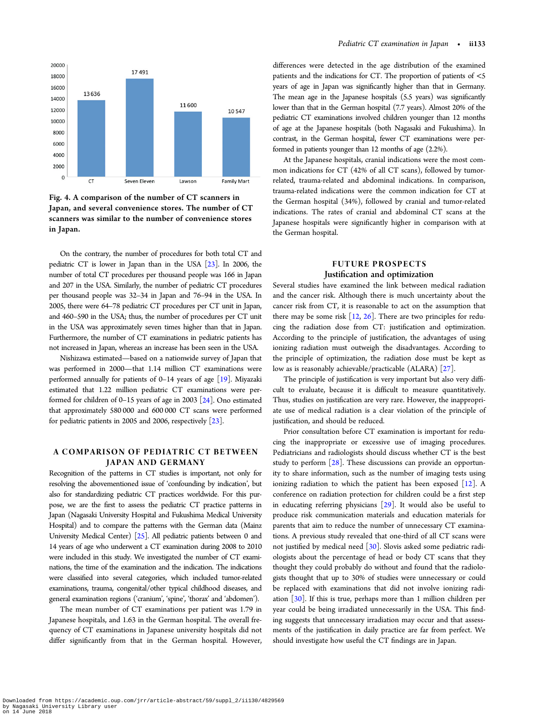<span id="page-3-0"></span>

Fig. 4. A comparison of the number of CT scanners in Japan, and several convenience stores. The number of CT scanners was similar to the number of convenience stores in Japan.

On the contrary, the number of procedures for both total CT and pediatric CT is lower in Japan than in the USA [\[23](#page-5-0)]. In 2006, the number of total CT procedures per thousand people was 166 in Japan and 207 in the USA. Similarly, the number of pediatric CT procedures per thousand people was 32–34 in Japan and 76–94 in the USA. In 2005, there were 64–78 pediatric CT procedures per CT unit in Japan, and 460–590 in the USA; thus, the number of procedures per CT unit in the USA was approximately seven times higher than that in Japan. Furthermore, the number of CT examinations in pediatric patients has not increased in Japan, whereas an increase has been seen in the USA.

Nishizawa estimated—based on a nationwide survey of Japan that was performed in 2000—that 1.14 million CT examinations were performed annually for patients of 0–14 years of age  $[19]$  $[19]$  $[19]$ . Miyazaki estimated that 1.22 million pediatric CT examinations were performed for children of 0–15 years of age in 2003  $[24]$  $[24]$ . Ono estimated that approximately 580 000 and 600 000 CT scans were performed for pediatric patients in 2005 and 2006, respectively [\[23](#page-5-0)].

## A COMPARISON OF PEDIATRIC CT BETWEEN JAPAN AND GERMANY

Recognition of the patterns in CT studies is important, not only for resolving the abovementioned issue of 'confounding by indication', but also for standardizing pediatric CT practices worldwide. For this purpose, we are the first to assess the pediatric CT practice patterns in Japan (Nagasaki University Hospital and Fukushima Medical University Hospital) and to compare the patterns with the German data (Mainz University Medical Center) [\[25\]](#page-5-0). All pediatric patients between 0 and 14 years of age who underwent a CT examination during 2008 to 2010 were included in this study. We investigated the number of CT examinations, the time of the examination and the indication. The indications were classified into several categories, which included tumor-related examinations, trauma, congenital/other typical childhood diseases, and general examination regions ('cranium', 'spine', 'thorax' and 'abdomen').

The mean number of CT examinations per patient was 1.79 in Japanese hospitals, and 1.63 in the German hospital. The overall frequency of CT examinations in Japanese university hospitals did not differ significantly from that in the German hospital. However,

differences were detected in the age distribution of the examined patients and the indications for CT. The proportion of patients of <5 years of age in Japan was significantly higher than that in Germany. The mean age in the Japanese hospitals (5.5 years) was significantly lower than that in the German hospital (7.7 years). Almost 20% of the pediatric CT examinations involved children younger than 12 months of age at the Japanese hospitals (both Nagasaki and Fukushima). In contrast, in the German hospital, fewer CT examinations were performed in patients younger than 12 months of age (2.2%).

At the Japanese hospitals, cranial indications were the most common indications for CT (42% of all CT scans), followed by tumorrelated, trauma-related and abdominal indications. In comparison, trauma-related indications were the common indication for CT at the German hospital (34%), followed by cranial and tumor-related indications. The rates of cranial and abdominal CT scans at the Japanese hospitals were significantly higher in comparison with at the German hospital.

# FUTURE PROSPECTS Justification and optimization

Several studies have examined the link between medical radiation and the cancer risk. Although there is much uncertainty about the cancer risk from CT, it is reasonable to act on the assumption that there may be some risk  $[12, 26]$  $[12, 26]$  $[12, 26]$  $[12, 26]$  $[12, 26]$ . There are two principles for reducing the radiation dose from CT: justification and optimization. According to the principle of justification, the advantages of using ionizing radiation must outweigh the disadvantages. According to the principle of optimization, the radiation dose must be kept as low as is reasonably achievable/practicable (ALARA) [\[27\]](#page-5-0).

The principle of justification is very important but also very difficult to evaluate, because it is difficult to measure quantitatively. Thus, studies on justification are very rare. However, the inappropriate use of medical radiation is a clear violation of the principle of justification, and should be reduced.

Prior consultation before CT examination is important for reducing the inappropriate or excessive use of imaging procedures. Pediatricians and radiologists should discuss whether CT is the best study to perform [[28](#page-5-0)]. These discussions can provide an opportunity to share information, such as the number of imaging tests using ionizing radiation to which the patient has been exposed [\[12](#page-5-0)]. A conference on radiation protection for children could be a first step in educating referring physicians [\[29\]](#page-5-0). It would also be useful to produce risk communication materials and education materials for parents that aim to reduce the number of unnecessary CT examinations. A previous study revealed that one-third of all CT scans were not justified by medical need  $\left[30\right]$  $\left[30\right]$  $\left[30\right]$ . Slovis asked some pediatric radiologists about the percentage of head or body CT scans that they thought they could probably do without and found that the radiologists thought that up to 30% of studies were unnecessary or could be replaced with examinations that did not involve ionizing radiation [\[30\]](#page-6-0). If this is true, perhaps more than 1 million children per year could be being irradiated unnecessarily in the USA. This finding suggests that unnecessary irradiation may occur and that assessments of the justification in daily practice are far from perfect. We should investigate how useful the CT findings are in Japan.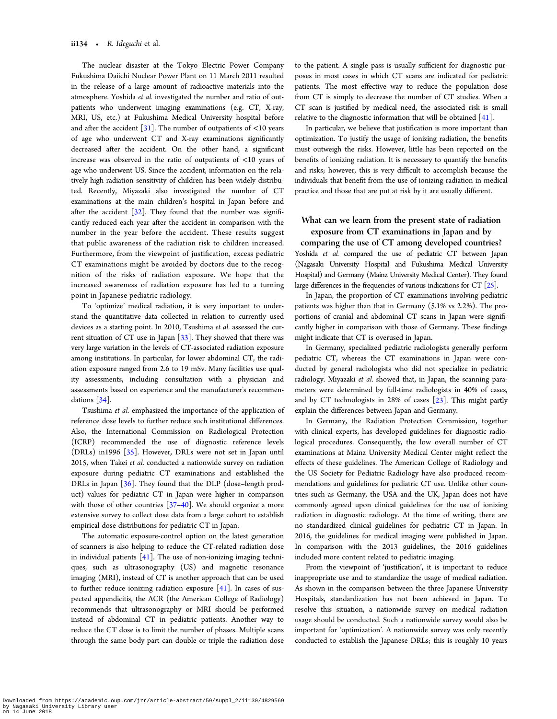The nuclear disaster at the Tokyo Electric Power Company Fukushima Daiichi Nuclear Power Plant on 11 March 2011 resulted in the release of a large amount of radioactive materials into the atmosphere. Yoshida et al. investigated the number and ratio of outpatients who underwent imaging examinations (e.g. CT, X-ray, MRI, US, etc.) at Fukushima Medical University hospital before and after the accident  $\lceil 31 \rceil$  $\lceil 31 \rceil$  $\lceil 31 \rceil$ . The number of outpatients of <10 years of age who underwent CT and X-ray examinations significantly decreased after the accident. On the other hand, a significant increase was observed in the ratio of outpatients of <10 years of age who underwent US. Since the accident, information on the relatively high radiation sensitivity of children has been widely distributed. Recently, Miyazaki also investigated the number of CT examinations at the main children's hospital in Japan before and after the accident  $[32]$  $[32]$  $[32]$ . They found that the number was significantly reduced each year after the accident in comparison with the number in the year before the accident. These results suggest that public awareness of the radiation risk to children increased. Furthermore, from the viewpoint of justification, excess pediatric CT examinations might be avoided by doctors due to the recognition of the risks of radiation exposure. We hope that the increased awareness of radiation exposure has led to a turning point in Japanese pediatric radiology.

To 'optimize' medical radiation, it is very important to understand the quantitative data collected in relation to currently used devices as a starting point. In 2010, Tsushima et al. assessed the current situation of CT use in Japan [[33](#page-6-0)]. They showed that there was very large variation in the levels of CT-associated radiation exposure among institutions. In particular, for lower abdominal CT, the radiation exposure ranged from 2.6 to 19 mSv. Many facilities use quality assessments, including consultation with a physician and assessments based on experience and the manufacturer's recommendations [[34](#page-6-0)].

Tsushima et al. emphasized the importance of the application of reference dose levels to further reduce such institutional differences. Also, the International Commission on Radiological Protection (ICRP) recommended the use of diagnostic reference levels (DRLs) in1996 [\[35\]](#page-6-0). However, DRLs were not set in Japan until 2015, when Takei et al. conducted a nationwide survey on radiation exposure during pediatric CT examinations and established the DRLs in Japan  $\lceil 36 \rceil$  $\lceil 36 \rceil$  $\lceil 36 \rceil$ . They found that the DLP (dose–length product) values for pediatric CT in Japan were higher in comparison with those of other countries  $\left[37-40\right]$  $\left[37-40\right]$  $\left[37-40\right]$  $\left[37-40\right]$  $\left[37-40\right]$ . We should organize a more extensive survey to collect dose data from a large cohort to establish empirical dose distributions for pediatric CT in Japan.

The automatic exposure-control option on the latest generation of scanners is also helping to reduce the CT-related radiation dose in individual patients  $[41]$  $[41]$ . The use of non-ionizing imaging techniques, such as ultrasonography (US) and magnetic resonance imaging (MRI), instead of CT is another approach that can be used to further reduce ionizing radiation exposure  $[41]$ . In cases of suspected appendicitis, the ACR (the American College of Radiology) recommends that ultrasonography or MRI should be performed instead of abdominal CT in pediatric patients. Another way to reduce the CT dose is to limit the number of phases. Multiple scans through the same body part can double or triple the radiation dose

to the patient. A single pass is usually sufficient for diagnostic purposes in most cases in which CT scans are indicated for pediatric patients. The most effective way to reduce the population dose from CT is simply to decrease the number of CT studies. When a CT scan is justified by medical need, the associated risk is small relative to the diagnostic information that will be obtained [[41](#page-6-0)].

In particular, we believe that justification is more important than optimization. To justify the usage of ionizing radiation, the benefits must outweigh the risks. However, little has been reported on the benefits of ionizing radiation. It is necessary to quantify the benefits and risks; however, this is very difficult to accomplish because the individuals that benefit from the use of ionizing radiation in medical practice and those that are put at risk by it are usually different.

# What can we learn from the present state of radiation exposure from CT examinations in Japan and by

comparing the use of CT among developed countries? Yoshida et al. compared the use of pediatric CT between Japan (Nagasaki University Hospital and Fukushima Medical University Hospital) and Germany (Mainz University Medical Center). They found large differences in the frequencies of various indications for CT [\[25](#page-5-0)].

In Japan, the proportion of CT examinations involving pediatric patients was higher than that in Germany (5.1% vs 2.2%). The proportions of cranial and abdominal CT scans in Japan were significantly higher in comparison with those of Germany. These findings might indicate that CT is overused in Japan.

In Germany, specialized pediatric radiologists generally perform pediatric CT, whereas the CT examinations in Japan were conducted by general radiologists who did not specialize in pediatric radiology. Miyazaki et al. showed that, in Japan, the scanning parameters were determined by full-time radiologists in 40% of cases, and by CT technologists in 28% of cases [\[23\]](#page-5-0). This might partly explain the differences between Japan and Germany.

In Germany, the Radiation Protection Commission, together with clinical experts, has developed guidelines for diagnostic radiological procedures. Consequently, the low overall number of CT examinations at Mainz University Medical Center might reflect the effects of these guidelines. The American College of Radiology and the US Society for Pediatric Radiology have also produced recommendations and guidelines for pediatric CT use. Unlike other countries such as Germany, the USA and the UK, Japan does not have commonly agreed upon clinical guidelines for the use of ionizing radiation in diagnostic radiology. At the time of writing, there are no standardized clinical guidelines for pediatric CT in Japan. In 2016, the guidelines for medical imaging were published in Japan. In comparison with the 2013 guidelines, the 2016 guidelines included more content related to pediatric imaging.

From the viewpoint of 'justification', it is important to reduce inappropriate use and to standardize the usage of medical radiation. As shown in the comparison between the three Japanese University Hospitals, standardization has not been achieved in Japan. To resolve this situation, a nationwide survey on medical radiation usage should be conducted. Such a nationwide survey would also be important for 'optimization'. A nationwide survey was only recently conducted to establish the Japanese DRLs; this is roughly 10 years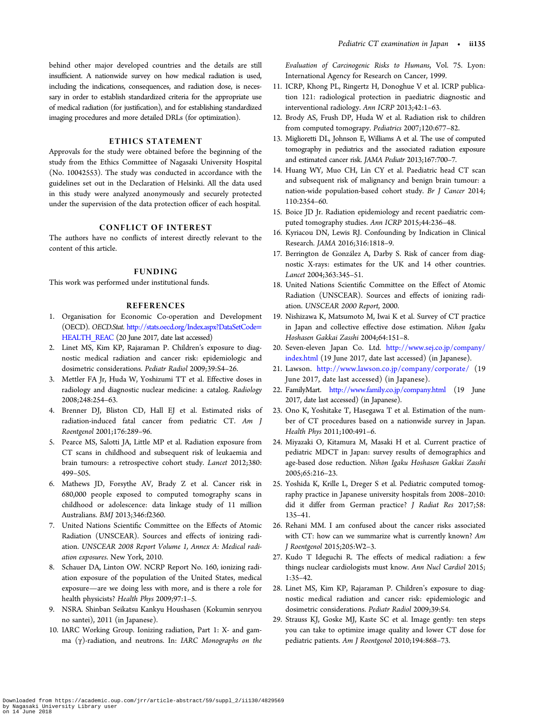<span id="page-5-0"></span>behind other major developed countries and the details are still insufficient. A nationwide survey on how medical radiation is used, including the indications, consequences, and radiation dose, is necessary in order to establish standardized criteria for the appropriate use of medical radiation (for justification), and for establishing standardized imaging procedures and more detailed DRLs (for optimization).

#### ETHICS STATEMENT

Approvals for the study were obtained before the beginning of the study from the Ethics Committee of Nagasaki University Hospital (No. 10042553). The study was conducted in accordance with the guidelines set out in the Declaration of Helsinki. All the data used in this study were analyzed anonymously and securely protected under the supervision of the data protection officer of each hospital.

#### CONFLICT OF INTEREST

The authors have no conflicts of interest directly relevant to the content of this article.

## FUNDING

This work was performed under institutional funds.

#### REFERENCES

- 1. Organisation for Economic Co-operation and Development (OECD). OECD.Stat. [http://stats.oecd.org/Index.aspx?DataSetCode](http://stats.oecd.org/Index.aspx?DataSetCode=HEALTH_REAC)= [HEALTH\\_REAC](http://stats.oecd.org/Index.aspx?DataSetCode=HEALTH_REAC) (20 June 2017, date last accessed)
- 2. Linet MS, Kim KP, Rajaraman P. Children's exposure to diagnostic medical radiation and cancer risk: epidemiologic and dosimetric considerations. Pediatr Radiol 2009;39:S4–26.
- 3. Mettler FA Jr, Huda W, Yoshizumi TT et al. Effective doses in radiology and diagnostic nuclear medicine: a catalog. Radiology 2008;248:254–63.
- 4. Brenner DJ, Bliston CD, Hall EJ et al. Estimated risks of radiation-induced fatal cancer from pediatric CT. Am J Roentgenol 2001;176:289–96.
- 5. Pearce MS, Salotti JA, Little MP et al. Radiation exposure from CT scans in childhood and subsequent risk of leukaemia and brain tumours: a retrospective cohort study. Lancet 2012;380: 499–505.
- 6. Mathews JD, Forsythe AV, Brady Z et al. Cancer risk in 680,000 people exposed to computed tomography scans in childhood or adolescence: data linkage study of 11 million Australians. BMJ 2013;346:f2360.
- 7. United Nations Scientific Committee on the Effects of Atomic Radiation (UNSCEAR). Sources and effects of ionizing radiation. UNSCEAR 2008 Report Volume 1, Annex A: Medical radiation exposures. New York, 2010.
- 8. Schauer DA, Linton OW. NCRP Report No. 160, ionizing radiation exposure of the population of the United States, medical exposure—are we doing less with more, and is there a role for health physicists? Health Phys 2009;97:1–5.
- 9. NSRA. Shinban Seikatsu Kankyu Houshasen (Kokumin senryou no santei), 2011 (in Japanese).
- 10. IARC Working Group. Ionizing radiation, Part 1: X- and gamma (γ)-radiation, and neutrons. In: IARC Monographs on the

Evaluation of Carcinogenic Risks to Humans, Vol. 75. Lyon: International Agency for Research on Cancer, 1999.

- 11. ICRP, Khong PL, Ringertz H, Donoghue V et al. ICRP publication 121: radiological protection in paediatric diagnostic and interventional radiology. Ann ICRP 2013;42:1–63.
- 12. Brody AS, Frush DP, Huda W et al. Radiation risk to children from computed tomograpy. Pediatrics 2007;120:677–82.
- 13. Miglioretti DL, Johnson E, Williams A et al. The use of computed tomography in pediatrics and the associated radiation exposure and estimated cancer risk. JAMA Pediatr 2013;167:700–7.
- 14. Huang WY, Muo CH, Lin CY et al. Paediatric head CT scan and subsequent risk of malignancy and benign brain tumour: a nation-wide population-based cohort study. Br J Cancer 2014; 110:2354–60.
- 15. Boice JD Jr. Radiation epidemiology and recent paediatric computed tomography studies. Ann ICRP 2015;44:236–48.
- 16. Kyriacou DN, Lewis RJ. Confounding by Indication in Clinical Research. JAMA 2016;316:1818–9.
- 17. Berrington de González A, Darby S. Risk of cancer from diagnostic X-rays: estimates for the UK and 14 other countries. Lancet 2004;363:345–51.
- 18. United Nations Scientific Committee on the Effect of Atomic Radiation (UNSCEAR). Sources and effects of ionizing radiation. UNSCEAR 2000 Report, 2000.
- 19. Nishizawa K, Matsumoto M, Iwai K et al. Survey of CT practice in Japan and collective effective dose estimation. Nihon Igaku Hoshasen Gakkai Zasshi 2004;64:151–8.
- 20. Seven-eleven Japan Co. Ltd. [http://www.sej.co.jp/company/](http://www.sej.co.jp/company/index.html) [index.html](http://www.sej.co.jp/company/index.html) (19 June 2017, date last accessed) (in Japanese).
- 21. Lawson. <http://www.lawson.co.jp/company/corporate/> (19 June 2017, date last accessed) (in Japanese).
- 22. FamilyMart. <http://www.family.co.jp/company.html> (19 June 2017, date last accessed) (in Japanese).
- 23. Ono K, Yoshitake T, Hasegawa T et al. Estimation of the number of CT procedures based on a nationwide survey in Japan. Health Phys 2011;100:491–6.
- 24. Miyazaki O, Kitamura M, Masaki H et al. Current practice of pediatric MDCT in Japan: survey results of demographics and age-based dose reduction. Nihon Igaku Hoshasen Gakkai Zasshi 2005;65:216–23.
- 25. Yoshida K, Krille L, Dreger S et al. Pediatric computed tomography practice in Japanese university hospitals from 2008–2010: did it differ from German practice? J Radiat Res 2017;58: 135–41.
- 26. Rehani MM. I am confused about the cancer risks associated with CT: how can we summarize what is currently known? Am J Roentgenol 2015;205:W2–3.
- 27. Kudo T Ideguchi R. The effects of medical radiation: a few things nuclear cardiologists must know. Ann Nucl Cardiol 2015; 1:35–42.
- 28. Linet MS, Kim KP, Rajaraman P. Children's exposure to diagnostic medical radiation and cancer risk: epidemiologic and dosimetric considerations. Pediatr Radiol 2009;39:S4.
- 29. Strauss KJ, Goske MJ, Kaste SC et al. Image gently: ten steps you can take to optimize image quality and lower CT dose for pediatric patients. Am J Roentgenol 2010;194:868–73.